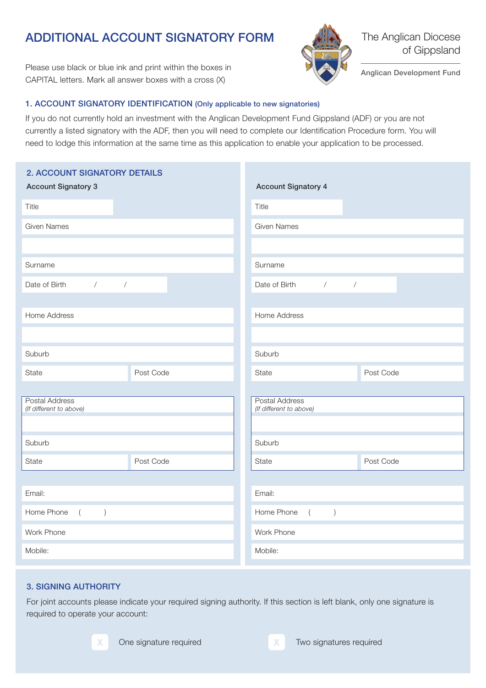# ADDITIONAL ACCOUNT SIGNATORY FORM

Please use black or blue ink and print within the boxes in CAPITAL letters. Mark all answer boxes with a cross (X)



The Anglican Diocese of Gippsland

Anglican Development Fund

## 1. ACCOUNT SIGNATORY IDENTIFICATION (Only applicable to new signatories)

If you do not currently hold an investment with the Anglican Development Fund Gippsland (ADF) or you are not currently a listed signatory with the ADF, then you will need to complete our Identification Procedure form. You will need to lodge this information at the same time as this application to enable your application to be processed.

| 2. ACCOUNT SIGNATORY DETAILS<br><b>Account Signatory 3</b> | <b>Account Signatory 4</b>                       |  |  |  |  |  |  |
|------------------------------------------------------------|--------------------------------------------------|--|--|--|--|--|--|
| Title                                                      | Title                                            |  |  |  |  |  |  |
| <b>Given Names</b>                                         | <b>Given Names</b>                               |  |  |  |  |  |  |
|                                                            |                                                  |  |  |  |  |  |  |
| Surname                                                    | Surname                                          |  |  |  |  |  |  |
| Date of Birth<br>$\sqrt{2}$<br>$\sqrt{\phantom{a}}$        | Date of Birth<br>$\sqrt{2}$<br>$\overline{ }$    |  |  |  |  |  |  |
| Home Address                                               | Home Address                                     |  |  |  |  |  |  |
|                                                            |                                                  |  |  |  |  |  |  |
|                                                            |                                                  |  |  |  |  |  |  |
| Suburb                                                     | Suburb                                           |  |  |  |  |  |  |
| State<br>Post Code                                         | State<br>Post Code                               |  |  |  |  |  |  |
|                                                            |                                                  |  |  |  |  |  |  |
| Postal Address<br>(If different to above)                  | <b>Postal Address</b><br>(If different to above) |  |  |  |  |  |  |
|                                                            |                                                  |  |  |  |  |  |  |
| Suburb                                                     | Suburb                                           |  |  |  |  |  |  |
| Post Code<br>State                                         | Post Code<br>State                               |  |  |  |  |  |  |
|                                                            |                                                  |  |  |  |  |  |  |
| Email:                                                     | Email:                                           |  |  |  |  |  |  |
| Home Phone<br>$\left($<br>$\big)$                          | Home Phone<br>$\left( \right)$<br>$\left($       |  |  |  |  |  |  |
| Work Phone                                                 | Work Phone                                       |  |  |  |  |  |  |
| Mobile:                                                    | Mobile:                                          |  |  |  |  |  |  |

## 3. SIGNING AUTHORITY

For joint accounts please indicate your required signing authority. If this section is left blank, only one signature is required to operate your account:





One signature required Two signatures required